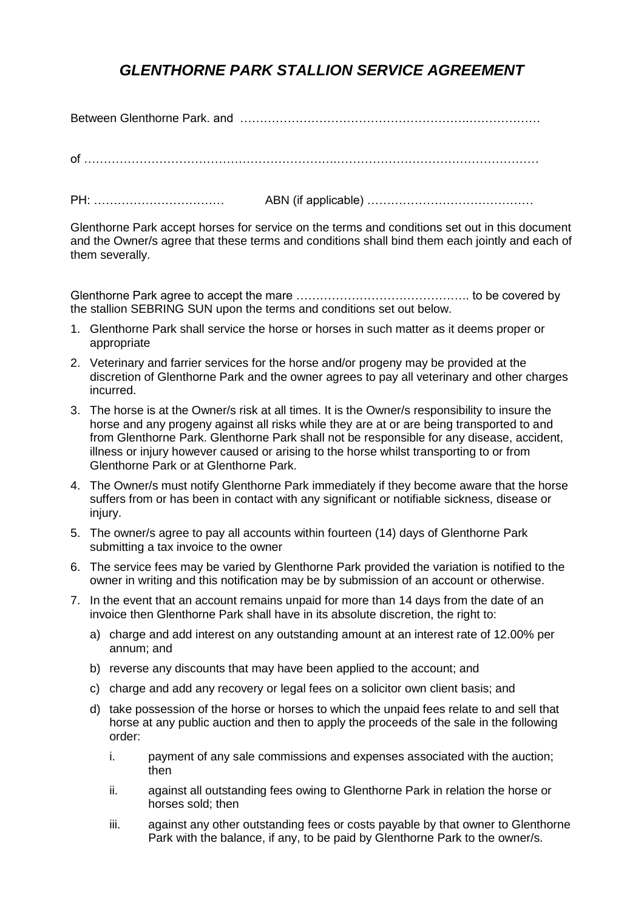## *GLENTHORNE PARK STALLION SERVICE AGREEMENT*

Between Glenthorne Park. and ………………………………………………….………………

of ……………………………………………………….……………………………………………

PH: …………………………… ABN (if applicable) ……………………………………

Glenthorne Park accept horses for service on the terms and conditions set out in this document and the Owner/s agree that these terms and conditions shall bind them each jointly and each of them severally.

Glenthorne Park agree to accept the mare …………………………………….. to be covered by the stallion SEBRING SUN upon the terms and conditions set out below.

- 1. Glenthorne Park shall service the horse or horses in such matter as it deems proper or appropriate
- 2. Veterinary and farrier services for the horse and/or progeny may be provided at the discretion of Glenthorne Park and the owner agrees to pay all veterinary and other charges incurred.
- 3. The horse is at the Owner/s risk at all times. It is the Owner/s responsibility to insure the horse and any progeny against all risks while they are at or are being transported to and from Glenthorne Park. Glenthorne Park shall not be responsible for any disease, accident, illness or injury however caused or arising to the horse whilst transporting to or from Glenthorne Park or at Glenthorne Park.
- 4. The Owner/s must notify Glenthorne Park immediately if they become aware that the horse suffers from or has been in contact with any significant or notifiable sickness, disease or injury.
- 5. The owner/s agree to pay all accounts within fourteen (14) days of Glenthorne Park submitting a tax invoice to the owner
- 6. The service fees may be varied by Glenthorne Park provided the variation is notified to the owner in writing and this notification may be by submission of an account or otherwise.
- 7. In the event that an account remains unpaid for more than 14 days from the date of an invoice then Glenthorne Park shall have in its absolute discretion, the right to:
	- a) charge and add interest on any outstanding amount at an interest rate of 12.00% per annum; and
	- b) reverse any discounts that may have been applied to the account; and
	- c) charge and add any recovery or legal fees on a solicitor own client basis; and
	- d) take possession of the horse or horses to which the unpaid fees relate to and sell that horse at any public auction and then to apply the proceeds of the sale in the following order:
		- i. payment of any sale commissions and expenses associated with the auction; then
		- ii. against all outstanding fees owing to Glenthorne Park in relation the horse or horses sold; then
		- iii. against any other outstanding fees or costs payable by that owner to Glenthorne Park with the balance, if any, to be paid by Glenthorne Park to the owner/s.